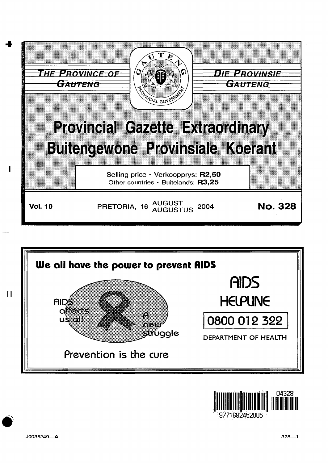





9771682452005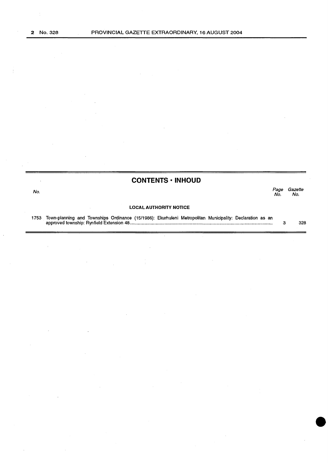$\mathbb{R}^2$ 

**CONTENTS • INHOUD** 

No. Page Gazette No. No.

# **LOCAL AUTHORITY NOTICE**

1753 Town-planning and Townships Ordinance ( 15/1986): Ekurhuleni Metropolitan Municipality: Declaration as an approved township: Rynfield Extension 48 ................................................................................................................... . 3 328

l,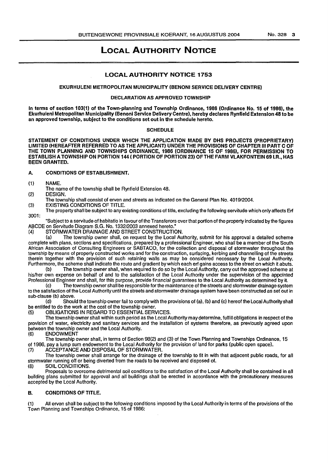# LOCAL AUTHORITY NOTICE

## LOCAL AUTHORITY NOTICE 1753

#### EKURHULENI METROPOLITAN MUNICIPALITY (BENONI SERVICE DELIVERY CENTRE)

#### DECLARATION AS APPROVED TOWNSHIP

In terms of section 103{1) of the Town-planning and Township Ordinance, 1986 (Ordinance No. 15 of 1986), the Ekurhuleni Metropolitan Municipality (Benoni Service Delivery Centre), hereby declares Rynfield Extension 48 to be an approved township, subject to the conditions set out in the schedule hereto.

#### **SCHEDULE**

STATEMENT OF CONDITIONS UNDER WHICH THE APPLICATION MADE BY DHS PROJECTS (PROPRIETARY) LIMITED (HEREAFTER REFERRED TO AS THE APPLICANT) UNDER THE PROVISIONS OF CHAPTER III PART C OF THE TOWN PLANNING AND TOWNSHIPS ORDINANCE, 1986 (ORDINANCE 15 OF 1986), FOR PERMISSION TO ESTABLISH A TOWNSHIP ON PORTION 144 (PORTION OF PORTION 23) OF THE FARM VLAKFONTEIN 691.R., HAS BEEN GRANTED.

### A. CONDITIONS OF ESTABLISHMENT.

(1) NAME.

The name of the township shall be Rynfield Extension 48.

(2) DESIGN.

The township shall consist of erven and streets as indicated on the General Plan No. 4019/2004.

(3) EXISTING CONDITIONS OF TITLE.

The property shall be subject to any existing conditions of title, excluding the following servitude which only affects Erf 3001:

"Subject to a servitude of habitatio in favour of the Transferors over that portion of the property indicated by the figures ABCDE on Servitude Diagram S.G. No. 1332/2003 annexed hereto."

STORMWATER DRAINAGE AND STREET CONSTRUCTION.<br>(a) The township owner shall, on request by the Local Au

(a) The township owner shall, on request by the Local Authority, submit for his approval a detailed scheme complete with plans, sections and specifications, prepared by a professional Engineer, who shall be a member of the South African Association of Consulting Engineers or SABTACO, for the collection and disposal of stormwater throughout the township by means of properly constructed works and for the construction, surfacing, kerbing and channelling of the streets therein together with the provision of such retaining walls as may be considered necessary by the Local Authority.

Furthermore, the scheme shall indicate the route and gradient by which each erf gains access to the street on which it abuts.<br>(b) The township owner shall when required to do so by the Local Authority, carry out the approv (b) The township owner shall, when required to do so by the Local Authority, carry out the approved scheme at his/her own expense on behalf of and to the satisfaction of the Local Authority under the supervision of the appointed Professional Engineer and shall, for this purpose, provide financial guarantees to the Local Authority as determined by it.

(c) The township owner shall be responsible for the maintenance of the streets and stormwater drainage system to the satisfaction of the Local Authority until the streets and stormwater drainage system have been constructed as set out in sub-clause (b) above.<br>(d) Shou

Should the township owner fail to comply with the provisions of (a), (b) and (c) hereof the Local Authority shall be entitled to do the work at the cost of the township owner.

(5) OBLIGATIONS IN REGARD TO ESSENTIAL SERVICES.

The township owner shall within such period as the Local Authority may determine, fulfill obligations in respect of the provision of water, electricity and sanitary services and the installation of systems therefore, as previously agreed upon between the township owner and the Local Authority.<br>(6) ENDOWMENT

**ENDOWMENT** 

The township owner shall, in terms of Section 98(2) and (3) of the Town Planning and Townships Ordinance, 15 of 1986, pay a lump sum endowment to the Local Authority for the provision of land for parks (public open space).

(7) ACCEPTANCE AND DISPOSAL OF STORMWATER.

The township owner shall arrange for the drainage of the township to fit in with that adjacent public roads, for all stormwater running off or being diverted from the roads to be received and disposed of.

(8) SOIL CONDITIONS.

Proposals to overcome detrimental soil conditions to the satisfaction of the Local Authority shall be contained in all building plans submitted for approval and all buildings shall be erected in accordance with the precautionary measures accepted by the Local Authority.

## B. CONDITIONS OF TITLE.

(1) All erven shall be subject to the following conditions imposed by the Local Authority in terms of the provisions of the Town Planning and Townships Ordinance, 15 of 1986: